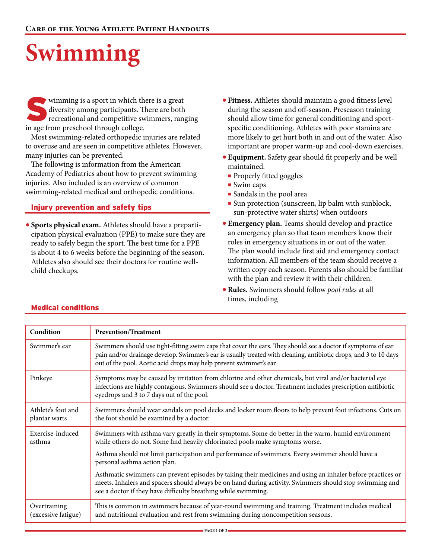# **Swimming**

wimming is a sport in which there is a great diversity among participants. There are both recreational and competitive swimmers, ranging in age from preschool through college.

Most swimming-related orthopedic injuries are related to overuse and are seen in competitive athletes. However, many injuries can be prevented.

The following is information from the American Academy of Pediatrics about how to prevent swimming injuries. Also included is an overview of common swimming-related medical and orthopedic conditions.

#### Injury prevention and safety tips

**• Sports physical exam.** Athletes should have a preparticipation physical evaluation (PPE) to make sure they are ready to safely begin the sport. The best time for a PPE is about 4 to 6 weeks before the beginning of the season. Athletes also should see their doctors for routine wellchild checkups.

- **• Fitness.** Athletes should maintain a good fitness level during the season and off-season. Preseason training should allow time for general conditioning and sportspecific conditioning. Athletes with poor stamina are more likely to get hurt both in and out of the water. Also important are proper warm-up and cool-down exercises.
- **• Equipment.** Safety gear should fit properly and be well maintained.
	- Properly fitted goggles
	- Swim caps
	- Sandals in the pool area
	- Sun protection (sunscreen, lip balm with sunblock, sun-protective water shirts) when outdoors
- **• Emergency plan.** Teams should develop and practice an emergency plan so that team members know their roles in emergency situations in or out of the water. The plan would include first aid and emergency contact information. All members of the team should receive a written copy each season. Parents also should be familiar with the plan and review it with their children.
- **•Rules.** Swimmers should follow *pool rules* at all times, including

| Condition                           | <b>Prevention/Treatment</b>                                                                                                                                                                                                                                                                            |  |
|-------------------------------------|--------------------------------------------------------------------------------------------------------------------------------------------------------------------------------------------------------------------------------------------------------------------------------------------------------|--|
| Swimmer's ear                       | Swimmers should use tight-fitting swim caps that cover the ears. They should see a doctor if symptoms of ear<br>pain and/or drainage develop. Swimmer's ear is usually treated with cleaning, antibiotic drops, and 3 to 10 days<br>out of the pool. Acetic acid drops may help prevent swimmer's ear. |  |
| Pinkeye                             | Symptoms may be caused by irritation from chlorine and other chemicals, but viral and/or bacterial eye<br>infections are highly contagious. Swimmers should see a doctor. Treatment includes prescription antibiotic<br>eyedrops and 3 to 7 days out of the pool.                                      |  |
| Athlete's foot and<br>plantar warts | Swimmers should wear sandals on pool decks and locker room floors to help prevent foot infections. Cuts on<br>the foot should be examined by a doctor.                                                                                                                                                 |  |
| Exercise-induced<br>asthma          | Swimmers with asthma vary greatly in their symptoms. Some do better in the warm, humid environment<br>while others do not. Some find heavily chlorinated pools make symptoms worse.                                                                                                                    |  |
|                                     | Asthma should not limit participation and performance of swimmers. Every swimmer should have a<br>personal asthma action plan.                                                                                                                                                                         |  |
|                                     | Asthmatic swimmers can prevent episodes by taking their medicines and using an inhaler before practices or<br>meets. Inhalers and spacers should always be on hand during activity. Swimmers should stop swimming and<br>see a doctor if they have difficulty breathing while swimming.                |  |
| Overtraining<br>(excessive fatigue) | This is common in swimmers because of year-round swimming and training. Treatment includes medical<br>and nutritional evaluation and rest from swimming during noncompetition seasons.                                                                                                                 |  |

#### Medical conditions